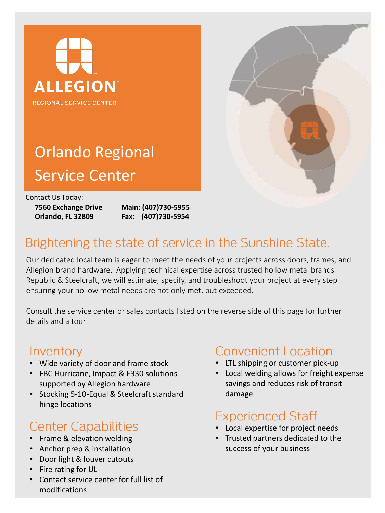



# Orlando Regional Service Center

Contact Us Today:

**7560 Exchange Drive Orlando, FL 32809**

**Main: (407)730-5955 Fax: (407)730-5954**

### Brightening the state of service in the Sunshine State.

Our dedicated local team is eager to meet the needs of your projects across doors, frames, and Allegion brand hardware. Applying technical expertise across trusted hollow metal brands Republic & Steelcraft, we will estimate, specify, and troubleshoot your project at every step ensuring your hollow metal needs are not only met, but exceeded.

Consult the service center or sales contacts listed on the reverse side of this page for further details and a tour.

### Inventory

- Wide variety of door and frame stock
- FBC Hurricane, Impact & E330 solutions supported by Allegion hardware
- Stocking 5-10-Equal & Steelcraft standard hinge locations

## **Center Capabilities**

- Frame & elevation welding
- Anchor prep & installation
- Door light & louver cutouts
- Fire rating for UL
- Contact service center for full list of modifications

### **Convenient Location**

- LTL shipping or customer pick-up
- Local welding allows for freight expense savings and reduces risk of transit damage

# **Experienced Staff**

- Local expertise for project needs
- Trusted partners dedicated to the success of your business